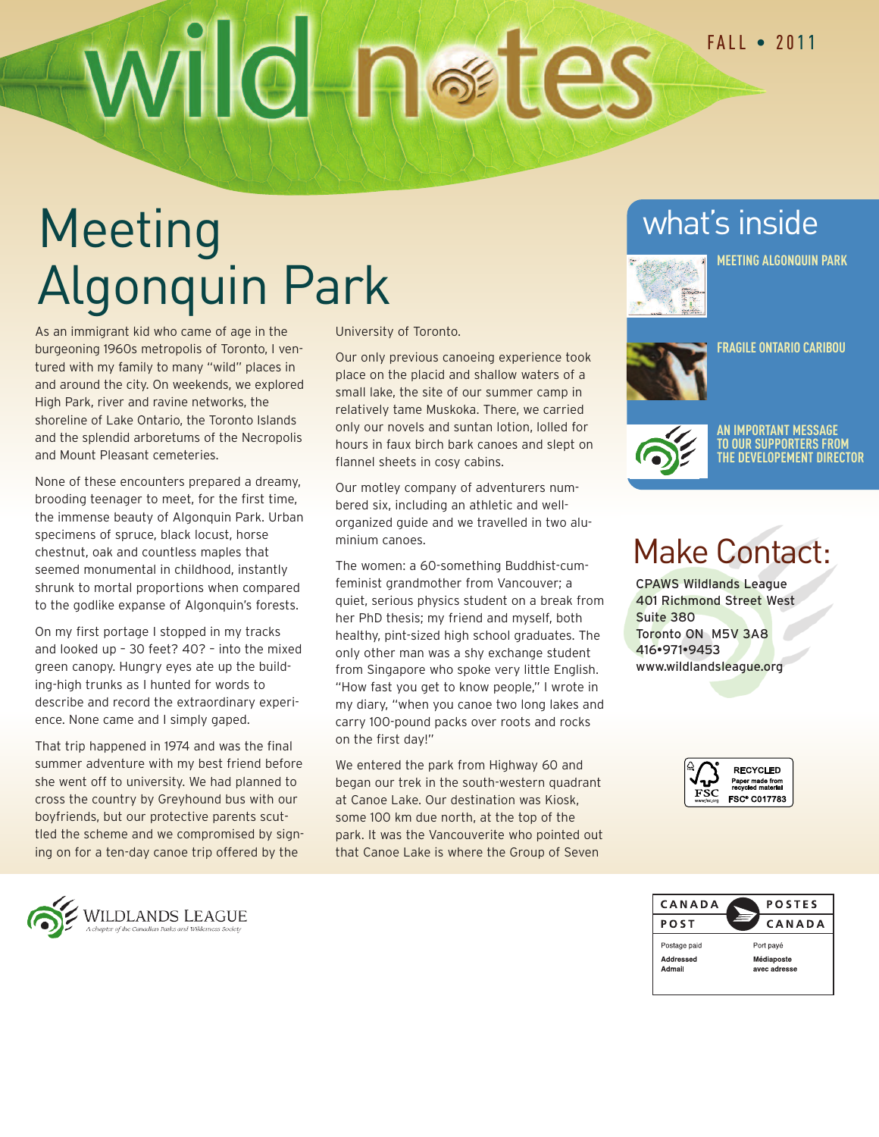# Wild netes

# Meeting Algonquin Park

As an immigrant kid who came of age in the burgeoning 1960s metropolis of Toronto, I ventured with my family to many "wild" places in and around the city. On weekends, we explored High Park, river and ravine networks, the shoreline of Lake Ontario, the Toronto Islands and the splendid arboretums of the Necropolis and Mount Pleasant cemeteries.

None of these encounters prepared a dreamy, brooding teenager to meet, for the first time, the immense beauty of Algonquin Park. Urban specimens of spruce, black locust, horse chestnut, oak and countless maples that seemed monumental in childhood, instantly shrunk to mortal proportions when compared to the godlike expanse of Algonquin's forests.

On my first portage I stopped in my tracks and looked up – 30 feet? 40? – into the mixed green canopy. Hungry eyes ate up the building-high trunks as I hunted for words to describe and record the extraordinary experience. None came and I simply gaped.

That trip happened in 1974 and was the final summer adventure with my best friend before she went off to university. We had planned to cross the country by Greyhound bus with our boyfriends, but our protective parents scuttled the scheme and we compromised by signing on for a ten-day canoe trip offered by the



Our only previous canoeing experience took place on the placid and shallow waters of a small lake, the site of our summer camp in relatively tame Muskoka. There, we carried only our novels and suntan lotion, lolled for hours in faux birch bark canoes and slept on flannel sheets in cosy cabins.

Our motley company of adventurers numbered six, including an athletic and wellorganized guide and we travelled in two aluminium canoes.

The women: a 60-something Buddhist-cumfeminist grandmother from Vancouver; a quiet, serious physics student on a break from her PhD thesis; my friend and myself, both healthy, pint-sized high school graduates. The only other man was a shy exchange student from Singapore who spoke very little English. "How fast you get to know people," I wrote in my diary, "when you canoe two long lakes and carry 100-pound packs over roots and rocks on the first day!"

We entered the park from Highway 60 and began our trek in the south-western quadrant at Canoe Lake. Our destination was Kiosk, some 100 km due north, at the top of the park. It was the Vancouverite who pointed out that Canoe Lake is where the Group of Seven

#### what's inside



**MEETING ALGONQUIN PARK**



**FRAGILE ONTARIO CARIBOU**



**AN IMPORTANT MESSAGE TO OUR SUPPORTERS FROM THE DEVELOPEMENT DIRECTOR**

## Make Contact:

CPAWS Wildlands League 401 Richmond Street West Suite 380 Toronto ON M5V 3A8 416•971•9453 www.wildlandsleague.org





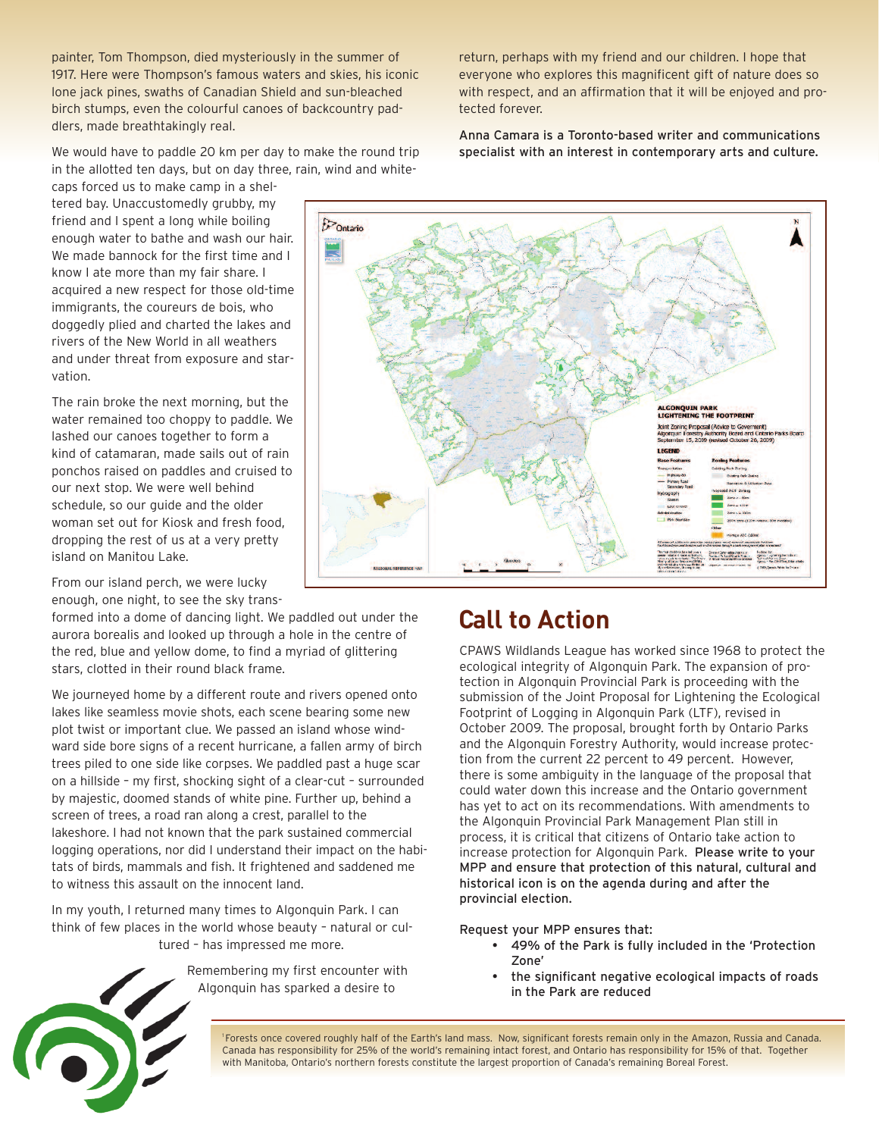painter, Tom Thompson, died mysteriously in the summer of 1917. Here were Thompson's famous waters and skies, his iconic lone jack pines, swaths of Canadian Shield and sun-bleached birch stumps, even the colourful canoes of backcountry paddlers, made breathtakingly real.

We would have to paddle 20 km per day to make the round trip in the allotted ten days, but on day three, rain, wind and white-

caps forced us to make camp in a sheltered bay. Unaccustomedly grubby, my friend and I spent a long while boiling enough water to bathe and wash our hair. We made bannock for the first time and I know I ate more than my fair share. I acquired a new respect for those old-time immigrants, the coureurs de bois, who doggedly plied and charted the lakes and rivers of the New World in all weathers and under threat from exposure and starvation.

The rain broke the next morning, but the water remained too choppy to paddle. We lashed our canoes together to form a kind of catamaran, made sails out of rain ponchos raised on paddles and cruised to our next stop. We were well behind schedule, so our guide and the older woman set out for Kiosk and fresh food, dropping the rest of us at a very pretty island on Manitou Lake.

From our island perch, we were lucky enough, one night, to see the sky trans-

formed into a dome of dancing light. We paddled out under the aurora borealis and looked up through a hole in the centre of the red, blue and yellow dome, to find a myriad of glittering stars, clotted in their round black frame.

We journeyed home by a different route and rivers opened onto lakes like seamless movie shots, each scene bearing some new plot twist or important clue. We passed an island whose windward side bore signs of a recent hurricane, a fallen army of birch trees piled to one side like corpses. We paddled past a huge scar on a hillside – my first, shocking sight of a clear-cut – surrounded by majestic, doomed stands of white pine. Further up, behind a screen of trees, a road ran along a crest, parallel to the lakeshore. I had not known that the park sustained commercial logging operations, nor did I understand their impact on the habitats of birds, mammals and fish. It frightened and saddened me to witness this assault on the innocent land.

In my youth, I returned many times to Algonquin Park. I can think of few places in the world whose beauty – natural or cultured – has impressed me more.

> Remembering my first encounter with Algonquin has sparked a desire to

return, perhaps with my friend and our children. I hope that everyone who explores this magnificent gift of nature does so with respect, and an affirmation that it will be enjoyed and protected forever.

Anna Camara is a Toronto-based writer and communications specialist with an interest in contemporary arts and culture.



#### **Call to Action**

CPAWS Wildlands League has worked since 1968 to protect the ecological integrity of Algonquin Park. The expansion of protection in Algonquin Provincial Park is proceeding with the submission of the Joint Proposal for Lightening the Ecological Footprint of Logging in Algonquin Park (LTF), revised in October 2009. The proposal, brought forth by Ontario Parks and the Algonquin Forestry Authority, would increase protection from the current 22 percent to 49 percent. However, there is some ambiguity in the language of the proposal that could water down this increase and the Ontario government has yet to act on its recommendations. With amendments to the Algonquin Provincial Park Management Plan still in process, it is critical that citizens of Ontario take action to increase protection for Algonquin Park. Please write to your MPP and ensure that protection of this natural, cultural and historical icon is on the agenda during and after the provincial election.

Request your MPP ensures that:

- 49% of the Park is fully included in the 'Protection Zone'
- the significant negative ecological impacts of roads in the Park are reduced

1 Forests once covered roughly half of the Earth's land mass. Now, significant forests remain only in the Amazon, Russia and Canada. Canada has responsibility for 25% of the world's remaining intact forest, and Ontario has responsibility for 15% of that. Together with Manitoba, Ontario's northern forests constitute the largest proportion of Canada's remaining Boreal Forest.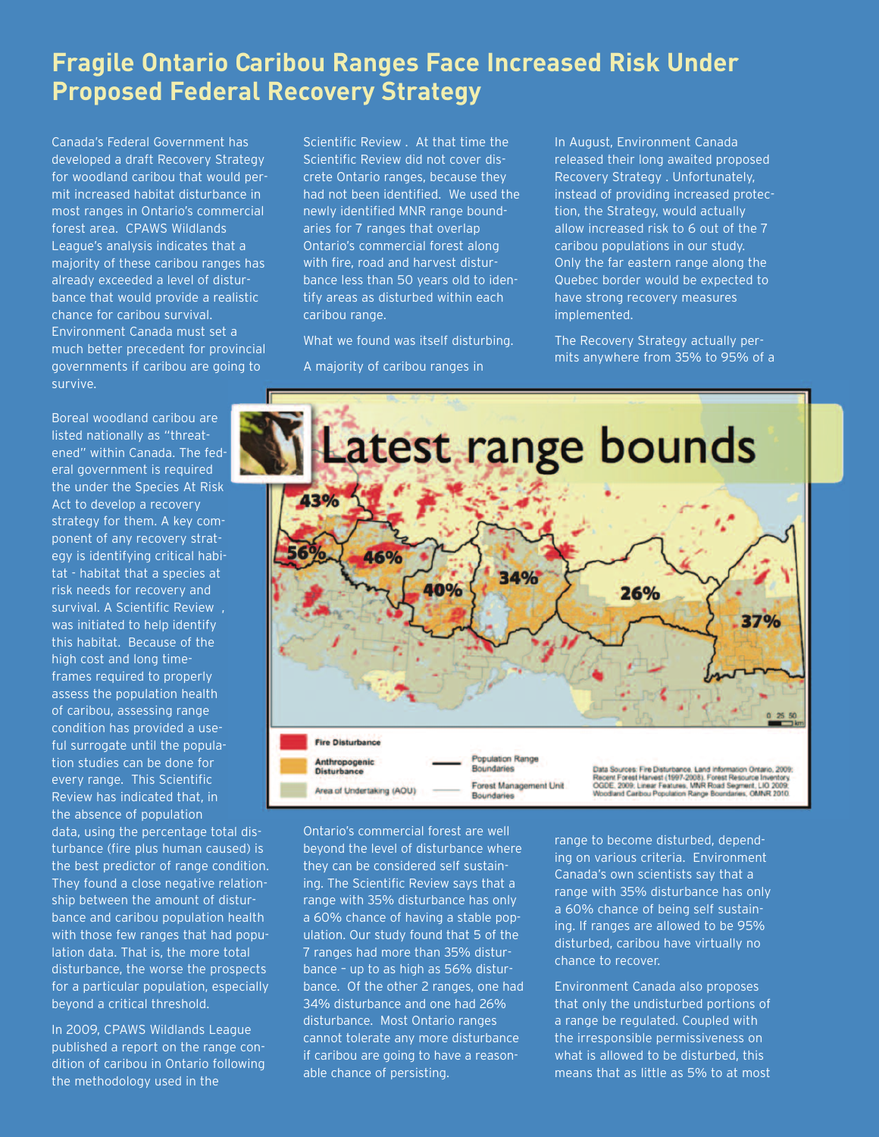#### **Fragile Ontario Caribou Ranges Face Increased Risk Under Proposed Federal Recovery Strategy**

Canada's Federal Government has developed a draft Recovery Strategy for woodland caribou that would permit increased habitat disturbance in most ranges in Ontario's commercial forest area. CPAWS Wildlands League's analysis indicates that a majority of these caribou ranges has already exceeded a level of disturbance that would provide a realistic chance for caribou survival. Environment Canada must set a much better precedent for provincial governments if caribou are going to survive.

Boreal woodland caribou are listed nationally as "threatened" within Canada. The federal government is required the under the Species At Risk Act to develop a recovery strategy for them. A key component of any recovery strategy is identifying critical habitat - habitat that a species at risk needs for recovery and survival. A Scientific Review , was initiated to help identify this habitat. Because of the high cost and long timeframes required to properly assess the population health of caribou, assessing range condition has provided a useful surrogate until the population studies can be done for every range. This Scientific Review has indicated that, in the absence of population

data, using the percentage total disturbance (fire plus human caused) is the best predictor of range condition. They found a close negative relationship between the amount of disturbance and caribou population health with those few ranges that had population data. That is, the more total disturbance, the worse the prospects for a particular population, especially beyond a critical threshold.

In 2009, CPAWS Wildlands League published a report on the range condition of caribou in Ontario following the methodology used in the

Scientific Review . At that time the Scientific Review did not cover discrete Ontario ranges, because they had not been identified. We used the newly identified MNR range boundaries for 7 ranges that overlap Ontario's commercial forest along with fire, road and harvest disturbance less than 50 years old to identify areas as disturbed within each caribou range.

What we found was itself disturbing. A majority of caribou ranges in

In August, Environment Canada released their long awaited proposed Recovery Strategy . Unfortunately, instead of providing increased protection, the Strategy, would actually allow increased risk to 6 out of the 7 caribou populations in our study. Only the far eastern range along the Quebec border would be expected to have strong recovery measures implemented.

The Recovery Strategy actually permits anywhere from 35% to 95% of a



Ontario's commercial forest are well beyond the level of disturbance where they can be considered self sustaining. The Scientific Review says that a range with 35% disturbance has only a 60% chance of having a stable population. Our study found that 5 of the 7 ranges had more than 35% disturbance – up to as high as 56% disturbance. Of the other 2 ranges, one had 34% disturbance and one had 26% disturbance. Most Ontario ranges cannot tolerate any more disturbance if caribou are going to have a reasonable chance of persisting.

range to become disturbed, depending on various criteria. Environment Canada's own scientists say that a range with 35% disturbance has only a 60% chance of being self sustaining. If ranges are allowed to be 95% disturbed, caribou have virtually no chance to recover.

Environment Canada also proposes that only the undisturbed portions of a range be regulated. Coupled with the irresponsible permissiveness on what is allowed to be disturbed, this means that as little as 5% to at most